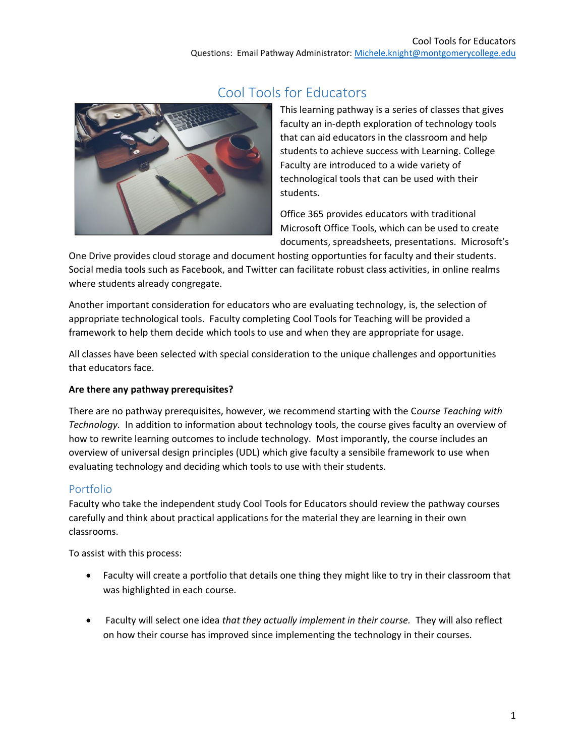

### Cool Tools for Educators

This learning pathway is a series of classes that gives faculty an in-depth exploration of technology tools that can aid educators in the classroom and help students to achieve success with Learning. College Faculty are introduced to a wide variety of technological tools that can be used with their students.

Office 365 provides educators with traditional Microsoft Office Tools, which can be used to create documents, spreadsheets, presentations. Microsoft's

One Drive provides cloud storage and document hosting opportunties for faculty and their students. Social media tools such as Facebook, and Twitter can facilitate robust class activities, in online realms where students already congregate.

Another important consideration for educators who are evaluating technology, is, the selection of appropriate technological tools. Faculty completing Cool Tools for Teaching will be provided a framework to help them decide which tools to use and when they are appropriate for usage.

All classes have been selected with special consideration to the unique challenges and opportunities that educators face.

#### **Are there any pathway prerequisites?**

There are no pathway prerequisites, however, we recommend starting with the C*ourse Teaching with Technology.* In addition to information about technology tools, the course gives faculty an overview of how to rewrite learning outcomes to include technology. Most imporantly, the course includes an overview of universal design principles (UDL) which give faculty a sensibile framework to use when evaluating technology and deciding which tools to use with their students.

#### Portfolio

Faculty who take the independent study Cool Tools for Educators should review the pathway courses carefully and think about practical applications for the material they are learning in their own classrooms.

To assist with this process:

- Faculty will create a portfolio that details one thing they might like to try in their classroom that was highlighted in each course.
- Faculty will select one idea *that they actually implement in their course.* They will also reflect on how their course has improved since implementing the technology in their courses.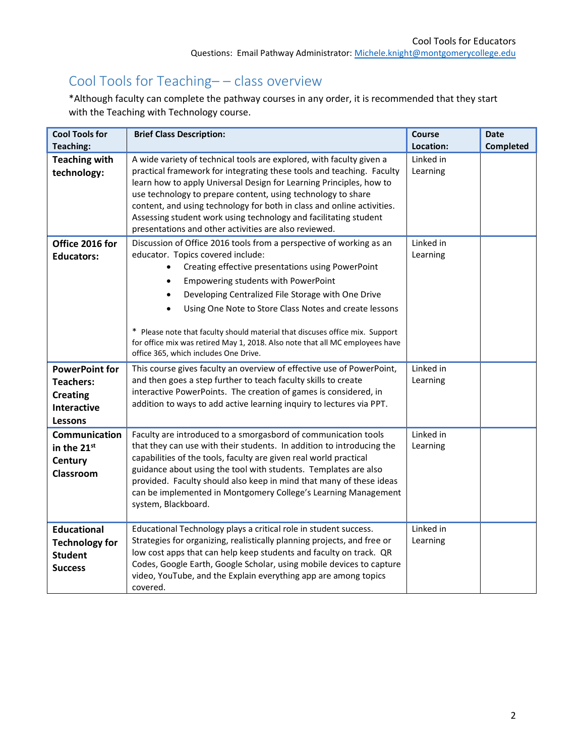# Cool Tools for Teaching– – class overview

\*Although faculty can complete the pathway courses in any order, it is recommended that they start with the Teaching with Technology course.

| <b>Cool Tools for</b>                                                                                | <b>Brief Class Description:</b>                                                                                                                                                                                                                                                                                                                                                                                                                                                                                               | <b>Course</b>         | <b>Date</b> |
|------------------------------------------------------------------------------------------------------|-------------------------------------------------------------------------------------------------------------------------------------------------------------------------------------------------------------------------------------------------------------------------------------------------------------------------------------------------------------------------------------------------------------------------------------------------------------------------------------------------------------------------------|-----------------------|-------------|
| <b>Teaching:</b>                                                                                     |                                                                                                                                                                                                                                                                                                                                                                                                                                                                                                                               | Location:             | Completed   |
| <b>Teaching with</b><br>technology:                                                                  | A wide variety of technical tools are explored, with faculty given a<br>practical framework for integrating these tools and teaching. Faculty<br>learn how to apply Universal Design for Learning Principles, how to<br>use technology to prepare content, using technology to share<br>content, and using technology for both in class and online activities.<br>Assessing student work using technology and facilitating student<br>presentations and other activities are also reviewed.                                   | Linked in<br>Learning |             |
| Office 2016 for<br><b>Educators:</b>                                                                 | Discussion of Office 2016 tools from a perspective of working as an<br>educator. Topics covered include:<br>Creating effective presentations using PowerPoint<br>Empowering students with PowerPoint<br>Developing Centralized File Storage with One Drive<br>Using One Note to Store Class Notes and create lessons<br>* Please note that faculty should material that discuses office mix. Support<br>for office mix was retired May 1, 2018. Also note that all MC employees have<br>office 365, which includes One Drive. | Linked in<br>Learning |             |
| <b>PowerPoint for</b><br><b>Teachers:</b><br><b>Creating</b><br><b>Interactive</b><br><b>Lessons</b> | This course gives faculty an overview of effective use of PowerPoint,<br>and then goes a step further to teach faculty skills to create<br>interactive PowerPoints. The creation of games is considered, in<br>addition to ways to add active learning inquiry to lectures via PPT.                                                                                                                                                                                                                                           | Linked in<br>Learning |             |
| Communication<br>in the 21st<br>Century<br>Classroom                                                 | Faculty are introduced to a smorgasbord of communication tools<br>that they can use with their students. In addition to introducing the<br>capabilities of the tools, faculty are given real world practical<br>guidance about using the tool with students. Templates are also<br>provided. Faculty should also keep in mind that many of these ideas<br>can be implemented in Montgomery College's Learning Management<br>system, Blackboard.                                                                               | Linked in<br>Learning |             |
| <b>Educational</b><br><b>Technology for</b><br><b>Student</b><br><b>Success</b>                      | Educational Technology plays a critical role in student success.<br>Strategies for organizing, realistically planning projects, and free or<br>low cost apps that can help keep students and faculty on track. QR<br>Codes, Google Earth, Google Scholar, using mobile devices to capture<br>video, YouTube, and the Explain everything app are among topics<br>covered.                                                                                                                                                      | Linked in<br>Learning |             |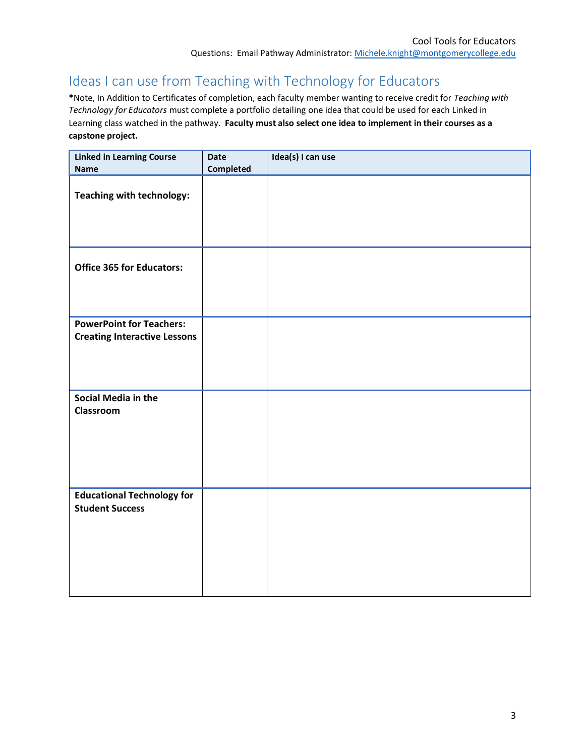# Ideas I can use from Teaching with Technology for Educators

**\***Note, In Addition to Certificates of completion, each faculty member wanting to receive credit for *Teaching with Technology for Educators* must complete a portfolio detailing one idea that could be used for each Linked in Learning class watched in the pathway. **Faculty must also select one idea to implement in their courses as a capstone project.**

| <b>Linked in Learning Course</b><br><b>Name</b>                        | <b>Date</b><br>Completed | Idea(s) I can use |
|------------------------------------------------------------------------|--------------------------|-------------------|
| Teaching with technology:                                              |                          |                   |
| <b>Office 365 for Educators:</b>                                       |                          |                   |
| <b>PowerPoint for Teachers:</b><br><b>Creating Interactive Lessons</b> |                          |                   |
| Social Media in the<br>Classroom                                       |                          |                   |
| <b>Educational Technology for</b><br><b>Student Success</b>            |                          |                   |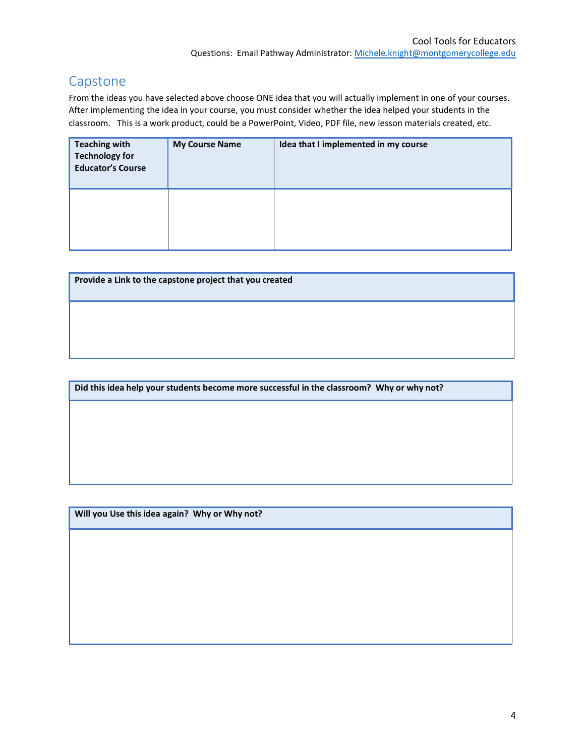### Capstone

From the ideas you have selected above choose ONE idea that you will actually implement in one of your courses. After implementing the idea in your course, you must consider whether the idea helped your students in the classroom. This is a work product, could be a PowerPoint, Video, PDF file, new lesson materials created, etc.

| <b>Teaching with</b><br><b>Technology for</b><br><b>Educator's Course</b> | <b>My Course Name</b> | Idea that I implemented in my course |
|---------------------------------------------------------------------------|-----------------------|--------------------------------------|
|                                                                           |                       |                                      |

| Provide a Link to the capstone project that you created |  |  |  |  |  |
|---------------------------------------------------------|--|--|--|--|--|
|                                                         |  |  |  |  |  |
|                                                         |  |  |  |  |  |

**Did this idea help your students become more successful in the classroom? Why or why not?** 

**Will you Use this idea again? Why or Why not?**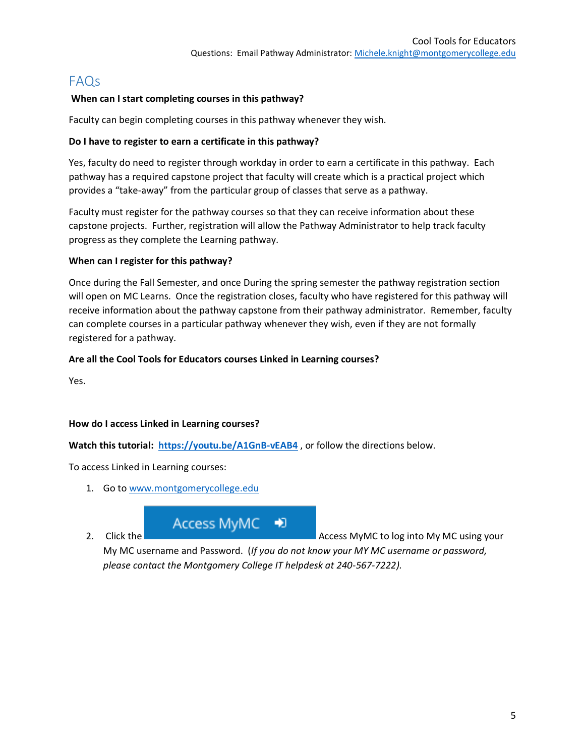### FAQs

#### **When can I start completing courses in this pathway?**

Faculty can begin completing courses in this pathway whenever they wish.

#### **Do I have to register to earn a certificate in this pathway?**

Yes, faculty do need to register through workday in order to earn a certificate in this pathway. Each pathway has a required capstone project that faculty will create which is a practical project which provides a "take-away" from the particular group of classes that serve as a pathway.

Faculty must register for the pathway courses so that they can receive information about these capstone projects. Further, registration will allow the Pathway Administrator to help track faculty progress as they complete the Learning pathway.

#### **When can I register for this pathway?**

Once during the Fall Semester, and once During the spring semester the pathway registration section will open on MC Learns. Once the registration closes, faculty who have registered for this pathway will receive information about the pathway capstone from their pathway administrator. Remember, faculty can complete courses in a particular pathway whenever they wish, even if they are not formally registered for a pathway.

#### **Are all the Cool Tools for Educators courses Linked in Learning courses?**

Yes.

#### **How do I access Linked in Learning courses?**

**Watch this tutorial:<https://youtu.be/A1GnB-vEAB4>** , or follow the directions below.

To access Linked in Learning courses:

- 1. Go to [www.montgomerycollege.edu](http://www.montgomerycollege.edu/)
- 

Access MyMC ∙

2. Click the **Access MyMC to log into My MC using your** 

My MC username and Password. (*If you do not know your MY MC username or password, please contact the Montgomery College IT helpdesk at 240-567-7222).*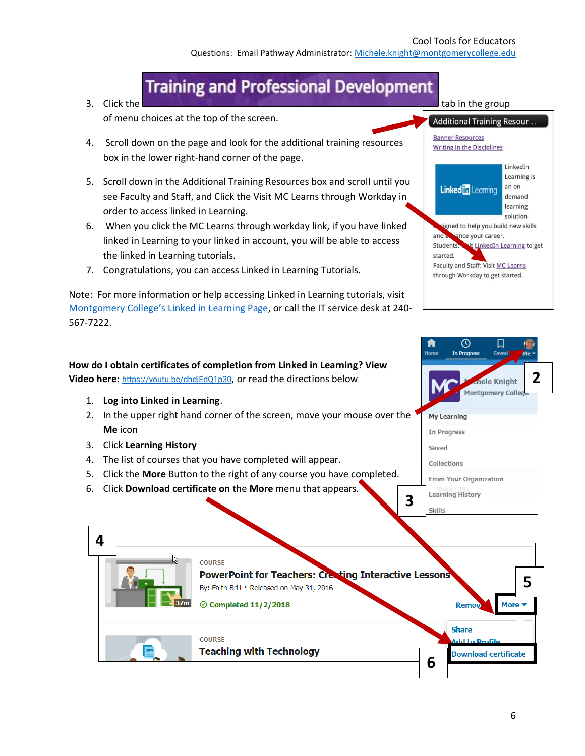Questions: Email Pathway Administrator: [Michele.knight@montgomerycollege.edu](mailto:Michele.knight@montgomerycollege.edu)

# **Training and Professional Development**

of menu choices at the top of the screen.

- 4. Scroll down on the page and look for the additional training resources box in the lower right-hand corner of the page.
- 5. Scroll down in the Additional Training Resources box and scroll until you see Faculty and Staff, and Click the Visit MC Learns through Workday in order to access linked in Learning.
- 6. When you click the MC Learns through workday link, if you have linked linked in Learning to your linked in account, you will be able to access the linked in Learning tutorials.
- 7. Congratulations, you can access Linked in Learning Tutorials.

Note: For more information or help accessing Linked in Learning tutorials, visit [Montgomery College's Linked in Learning Page](https://info.montgomerycollege.edu/offices/information-technology/training/linkedin_learning.html), or call the IT service desk at 240- 567-7222.

#### **How do I obtain certificates of completion from Linked in Learning? View**  Video here: <https://youtu.be/dhdjEdQ1p30>, or read the directions below

- 1. **Log into Linked in Learning**.
- 2. In the upper right hand corner of the screen, move your mouse over the **Me** icon
- 3. Click **Learning History**
- 4. The list of courses that you have completed will appear.
- 5. Click the **More** Button to the right of any course you have completed.
- 6. Click **Download certificate on** the **More** menu that appears.



**3**



 $\odot$ 

In Progress

From Your Organization

**Learning History** 

Skills

**My Learning** In Progress Saved Collections

口

Save

ele Knight Montgomery Colle **2**